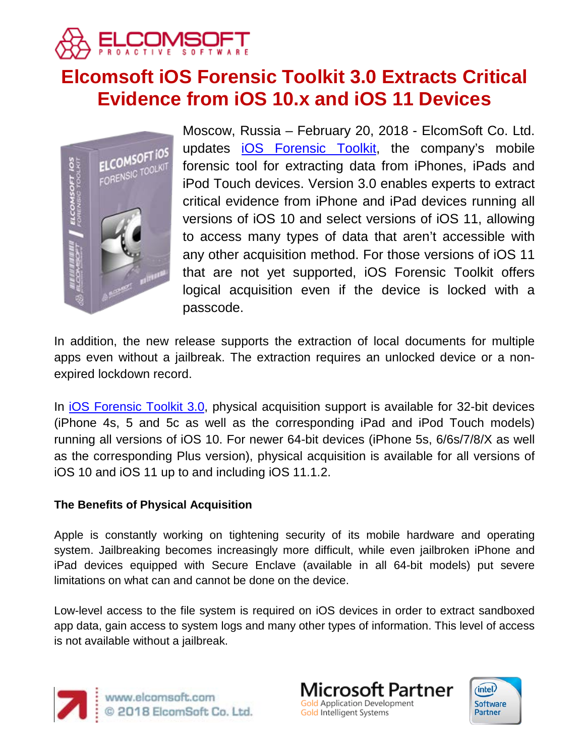

# **Elcomsoft iOS Forensic Toolkit 3.0 Extracts Critical Evidence from iOS 10.x and iOS 11 Devices**



Moscow, Russia – February 20, 2018 - ElcomSoft Co. Ltd. updates [iOS Forensic Toolkit,](https://www.elcomsoft.com/eift.html) the company's mobile forensic tool for extracting data from iPhones, iPads and iPod Touch devices. Version 3.0 enables experts to extract critical evidence from iPhone and iPad devices running all versions of iOS 10 and select versions of iOS 11, allowing to access many types of data that aren't accessible with any other acquisition method. For those versions of iOS 11 that are not yet supported, iOS Forensic Toolkit offers logical acquisition even if the device is locked with a passcode.

In addition, the new release supports the extraction of local documents for multiple apps even without a jailbreak. The extraction requires an unlocked device or a nonexpired lockdown record.

In [iOS Forensic Toolkit 3.0,](https://www.elcomsoft.com/eift.html) physical acquisition support is available for 32-bit devices (iPhone 4s, 5 and 5c as well as the corresponding iPad and iPod Touch models) running all versions of iOS 10. For newer 64-bit devices (iPhone 5s, 6/6s/7/8/X as well as the corresponding Plus version), physical acquisition is available for all versions of iOS 10 and iOS 11 up to and including iOS 11.1.2.

## **The Benefits of Physical Acquisition**

Apple is constantly working on tightening security of its mobile hardware and operating system. Jailbreaking becomes increasingly more difficult, while even jailbroken iPhone and iPad devices equipped with Secure Enclave (available in all 64-bit models) put severe limitations on what can and cannot be done on the device.

Low-level access to the file system is required on iOS devices in order to extract sandboxed app data, gain access to system logs and many other types of information. This level of access is not available without a jailbreak.





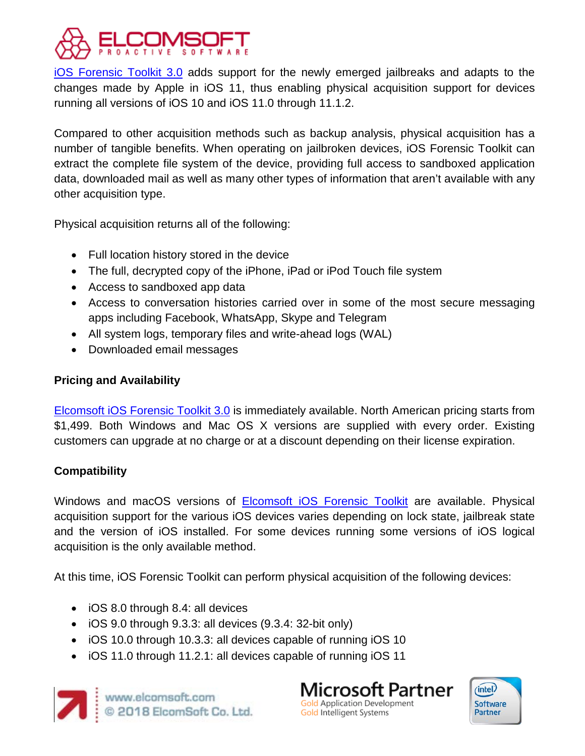

[iOS Forensic Toolkit 3.0](https://www.elcomsoft.com/eift.html) adds support for the newly emerged jailbreaks and adapts to the changes made by Apple in iOS 11, thus enabling physical acquisition support for devices running all versions of iOS 10 and iOS 11.0 through 11.1.2.

Compared to other acquisition methods such as backup analysis, physical acquisition has a number of tangible benefits. When operating on jailbroken devices, iOS Forensic Toolkit can extract the complete file system of the device, providing full access to sandboxed application data, downloaded mail as well as many other types of information that aren't available with any other acquisition type.

Physical acquisition returns all of the following:

- Full location history stored in the device
- The full, decrypted copy of the iPhone, iPad or iPod Touch file system
- Access to sandboxed app data
- Access to conversation histories carried over in some of the most secure messaging apps including Facebook, WhatsApp, Skype and Telegram
- All system logs, temporary files and write-ahead logs (WAL)
- Downloaded email messages

## **Pricing and Availability**

[Elcomsoft iOS Forensic Toolkit 3.0](https://www.elcomsoft.com/eift.html) is immediately available. North American pricing starts from \$1,499. Both Windows and Mac OS X versions are supplied with every order. Existing customers can upgrade at no charge or at a discount depending on their license expiration.

# **Compatibility**

Windows and macOS versions of **[Elcomsoft iOS Forensic Toolkit](https://www.elcomsoft.com/eift.html)** are available. Physical acquisition support for the various iOS devices varies depending on lock state, jailbreak state and the version of iOS installed. For some devices running some versions of iOS logical acquisition is the only available method.

At this time, iOS Forensic Toolkit can perform physical acquisition of the following devices:

- iOS 8.0 through 8.4: all devices
- iOS 9.0 through 9.3.3: all devices (9.3.4: 32-bit only)
- iOS 10.0 through 10.3.3: all devices capable of running iOS 10
- iOS 11.0 through 11.2.1: all devices capable of running iOS 11



**Microsoft Partner** Gold Application Development Gold Intelligent Systems